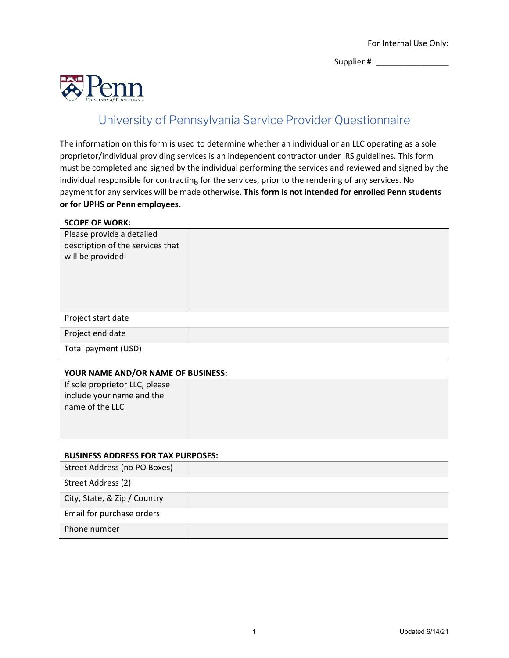Supplier #: \_\_\_\_\_\_\_\_\_\_\_\_\_\_\_\_



## University of Pennsylvania Service Provider Questionnaire

The information on this form is used to determine whether an individual or an LLC operating as a sole proprietor/individual providing services is an independent contractor under IRS guidelines. This form must be completed and signed by the individual performing the services and reviewed and signed by the individual responsible for contracting for the services, prior to the rendering of any services. No payment for any services will be made otherwise. **Thisform is not intended for enrolled Penn students or for UPHS or Penn employees.**

## **SCOPE OF WORK:**

| Please provide a detailed<br>description of the services that<br>will be provided: |  |
|------------------------------------------------------------------------------------|--|
| Project start date                                                                 |  |
| Project end date                                                                   |  |
| Total payment (USD)                                                                |  |

## **YOUR NAME AND/OR NAME OF BUSINESS:**

| If sole proprietor LLC, please |  |
|--------------------------------|--|
| include your name and the      |  |
| name of the LLC                |  |
|                                |  |
|                                |  |
|                                |  |

## **BUSINESS ADDRESS FOR TAX PURPOSES:**

| Street Address (no PO Boxes) |  |
|------------------------------|--|
| Street Address (2)           |  |
| City, State, & Zip / Country |  |
| Email for purchase orders    |  |
| Phone number                 |  |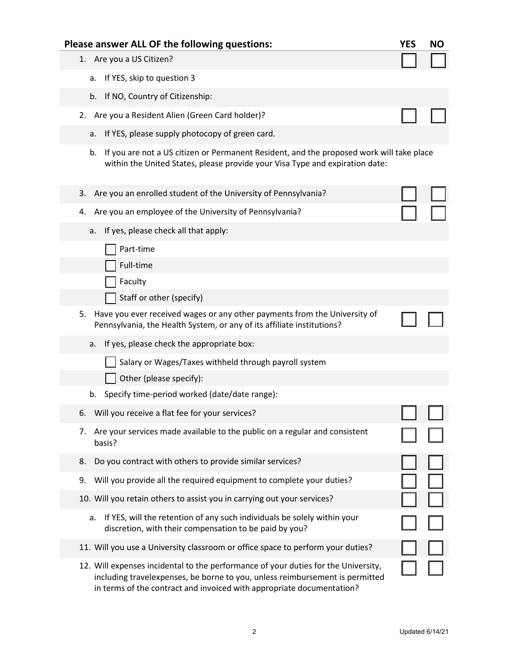| Please answer ALL OF the following questions:                                                                                                                                                                                               | YES | <b>NO</b> |
|---------------------------------------------------------------------------------------------------------------------------------------------------------------------------------------------------------------------------------------------|-----|-----------|
| 1. Are you a US Citizen?                                                                                                                                                                                                                    |     |           |
| If YES, skip to question 3<br>a.                                                                                                                                                                                                            |     |           |
| b. If NO, Country of Citizenship:                                                                                                                                                                                                           |     |           |
| Are you a Resident Alien (Green Card holder)?<br>2.                                                                                                                                                                                         |     |           |
| If YES, please supply photocopy of green card.<br>a.                                                                                                                                                                                        |     |           |
| b.<br>If you are not a US citizen or Permanent Resident, and the proposed work will take place<br>within the United States, please provide your Visa Type and expiration date:                                                              |     |           |
| Are you an enrolled student of the University of Pennsylvania?<br>3.                                                                                                                                                                        |     |           |
| Are you an employee of the University of Pennsylvania?<br>4.                                                                                                                                                                                |     |           |
| If yes, please check all that apply:<br>a.                                                                                                                                                                                                  |     |           |
| Part-time                                                                                                                                                                                                                                   |     |           |
| Full-time                                                                                                                                                                                                                                   |     |           |
| Faculty                                                                                                                                                                                                                                     |     |           |
| Staff or other (specify)                                                                                                                                                                                                                    |     |           |
| 5. Have you ever received wages or any other payments from the University of<br>Pennsylvania, the Health System, or any of its affiliate institutions?                                                                                      |     |           |
| If yes, please check the appropriate box:<br>a.                                                                                                                                                                                             |     |           |
| Salary or Wages/Taxes withheld through payroll system                                                                                                                                                                                       |     |           |
| Other (please specify):                                                                                                                                                                                                                     |     |           |
| Specify time-period worked (date/date range):<br>b.                                                                                                                                                                                         |     |           |
| Will you receive a flat fee for your services?<br>6.                                                                                                                                                                                        |     |           |
| Are your services made available to the public on a regular and consistent<br>7.<br>basis?                                                                                                                                                  |     |           |
| Do you contract with others to provide similar services?<br>8.                                                                                                                                                                              |     |           |
| Will you provide all the required equipment to complete your duties?<br>9.                                                                                                                                                                  |     |           |
| 10. Will you retain others to assist you in carrying out your services?                                                                                                                                                                     |     |           |
| If YES, will the retention of any such individuals be solely within your<br>a.<br>discretion, with their compensation to be paid by you?                                                                                                    |     |           |
| 11. Will you use a University classroom or office space to perform your duties?                                                                                                                                                             |     |           |
| 12. Will expenses incidental to the performance of your duties for the University,<br>including travelexpenses, be borne to you, unless reimbursement is permitted<br>in terms of the contract and invoiced with appropriate documentation? |     |           |